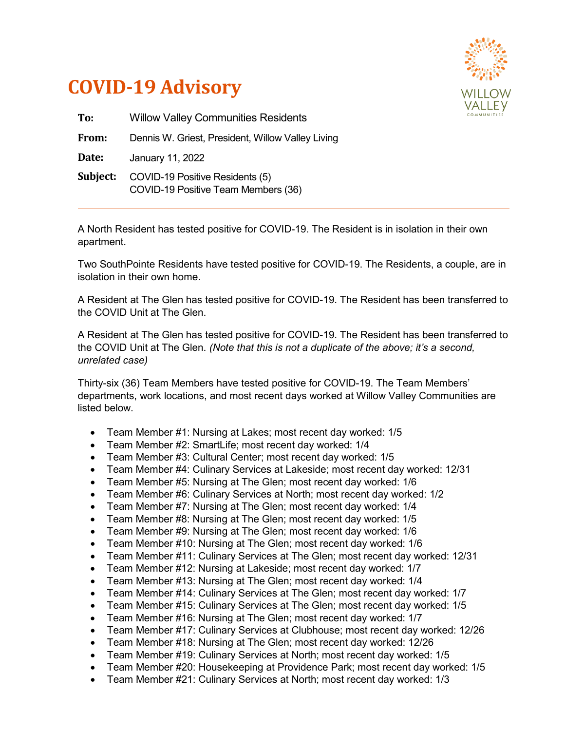

## **COVID-19 Advisory**

| To:      | <b>Willow Valley Communities Residents</b>                             |
|----------|------------------------------------------------------------------------|
| From:    | Dennis W. Griest, President, Willow Valley Living                      |
| Date:    | January 11, 2022                                                       |
| Subject: | COVID-19 Positive Residents (5)<br>COVID-19 Positive Team Members (36) |

A North Resident has tested positive for COVID-19. The Resident is in isolation in their own apartment.

Two SouthPointe Residents have tested positive for COVID-19. The Residents, a couple, are in isolation in their own home.

A Resident at The Glen has tested positive for COVID-19. The Resident has been transferred to the COVID Unit at The Glen.

A Resident at The Glen has tested positive for COVID-19. The Resident has been transferred to the COVID Unit at The Glen. *(Note that this is not a duplicate of the above; it's a second, unrelated case)*

Thirty-six (36) Team Members have tested positive for COVID-19. The Team Members' departments, work locations, and most recent days worked at Willow Valley Communities are listed below.

- Team Member #1: Nursing at Lakes; most recent day worked: 1/5
- Team Member #2: SmartLife; most recent day worked: 1/4
- Team Member #3: Cultural Center; most recent day worked: 1/5
- Team Member #4: Culinary Services at Lakeside; most recent day worked: 12/31
- Team Member #5: Nursing at The Glen; most recent day worked: 1/6
- Team Member #6: Culinary Services at North; most recent day worked: 1/2
- Team Member #7: Nursing at The Glen; most recent day worked: 1/4
- Team Member #8: Nursing at The Glen; most recent day worked: 1/5
- Team Member #9: Nursing at The Glen; most recent day worked: 1/6
- Team Member #10: Nursing at The Glen; most recent day worked: 1/6
- Team Member #11: Culinary Services at The Glen; most recent day worked: 12/31
- Team Member #12: Nursing at Lakeside; most recent day worked: 1/7
- Team Member #13: Nursing at The Glen; most recent day worked: 1/4
- Team Member #14: Culinary Services at The Glen; most recent day worked: 1/7
- Team Member #15: Culinary Services at The Glen; most recent day worked: 1/5
- Team Member #16: Nursing at The Glen; most recent day worked: 1/7
- Team Member #17: Culinary Services at Clubhouse; most recent day worked: 12/26
- Team Member #18: Nursing at The Glen; most recent day worked: 12/26
- Team Member #19: Culinary Services at North; most recent day worked: 1/5
- Team Member #20: Housekeeping at Providence Park; most recent day worked: 1/5
- Team Member #21: Culinary Services at North; most recent day worked: 1/3